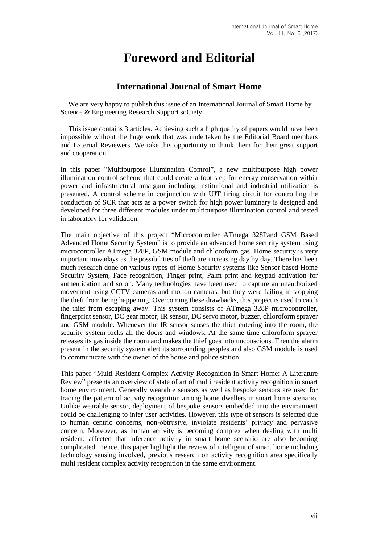## **Foreword and Editorial**

## **International Journal of Smart Home**

We are very happy to publish this issue of an International Journal of Smart Home by Science & Engineering Research Support soCiety.

This issue contains 3 articles. Achieving such a high quality of papers would have been impossible without the huge work that was undertaken by the Editorial Board members and External Reviewers. We take this opportunity to thank them for their great support and cooperation.

In this paper "Multipurpose Illumination Control", a new multipurpose high power illumination control scheme that could create a foot step for energy conservation within power and infrastructural amalgam including institutional and industrial utilization is presented. A control scheme in conjunction with UJT firing circuit for controlling the conduction of SCR that acts as a power switch for high power luminary is designed and developed for three different modules under multipurpose illumination control and tested in laboratory for validation.

The main objective of this project "Microcontroller ATmega 328Pand GSM Based Advanced Home Security System" is to provide an advanced home security system using microcontroller ATmega 328P, GSM module and chloroform gas. Home security is very important nowadays as the possibilities of theft are increasing day by day. There has been much research done on various types of Home Security systems like Sensor based Home Security System, Face recognition, Finger print, Palm print and keypad activation for authentication and so on. Many technologies have been used to capture an unauthorized movement using CCTV cameras and motion cameras, but they were failing in stopping the theft from being happening. Overcoming these drawbacks, this project is used to catch the thief from escaping away. This system consists of ATmega 328P microcontroller, fingerprint sensor, DC gear motor, IR sensor, DC servo motor, buzzer, chloroform sprayer and GSM module. Whenever the IR sensor senses the thief entering into the room, the security system locks all the doors and windows. At the same time chloroform sprayer releases its gas inside the room and makes the thief goes into unconscious. Then the alarm present in the security system alert its surrounding peoples and also GSM module is used to communicate with the owner of the house and police station.

This paper "Multi Resident Complex Activity Recognition in Smart Home: A Literature Review" presents an overview of state of art of multi resident activity recognition in smart home environment. Generally wearable sensors as well as bespoke sensors are used for tracing the pattern of activity recognition among home dwellers in smart home scenario. Unlike wearable sensor, deployment of bespoke sensors embedded into the environment could be challenging to infer user activities. However, this type of sensors is selected due to human centric concerns, non-obtrusive, inviolate residents' privacy and pervasive concern. Moreover, as human activity is becoming complex when dealing with multi resident, affected that inference activity in smart home scenario are also becoming complicated. Hence, this paper highlight the review of intelligent of smart home including technology sensing involved, previous research on activity recognition area specifically multi resident complex activity recognition in the same environment.